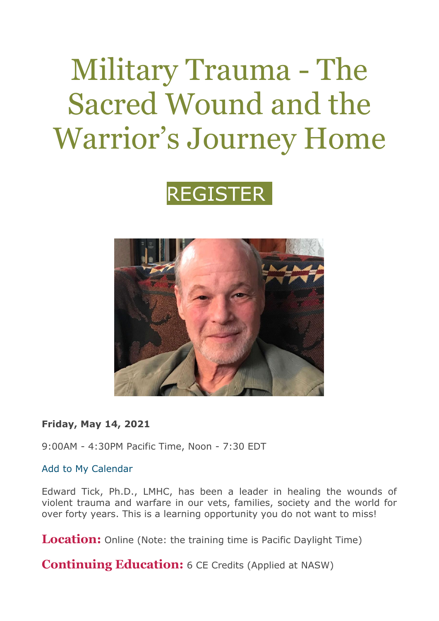# Military Trauma - The Sacred Wound and the Warrior's Journey Home





**Friday, May 14, 2021**

9:00AM - 4:30PM Pacific Time, Noon - 7:30 EDT

[Add to My Calendar](https://returningveterans.org/events/add-to-calendar/military-trauma-the-sacred-wound-and-the-warriors-journey-home/681)

Edward Tick, Ph.D., LMHC, has been a leader in healing the wounds of violent trauma and warfare in our vets, families, society and the world for over forty years. This is a learning opportunity you do not want to miss!

**Location:** Online (Note: the training time is Pacific Daylight Time)

**Continuing Education:** 6 CE Credits (Applied at NASW)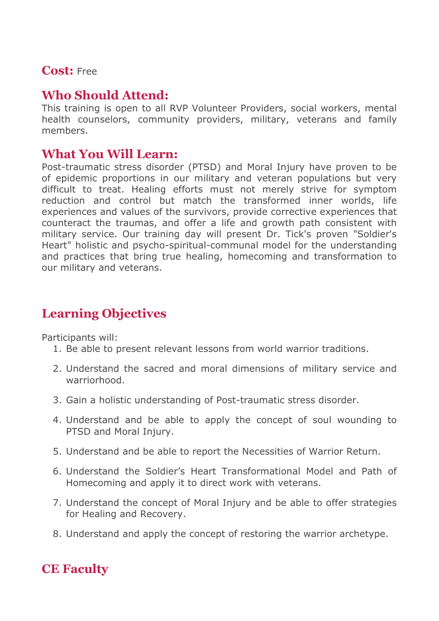#### **Cost:** Free

### **Who Should Attend:**

This training is open to all RVP Volunteer Providers, social workers, mental health counselors, community providers, military, veterans and family members.

#### **What You Will Learn:**

Post-traumatic stress disorder (PTSD) and Moral Injury have proven to be of epidemic proportions in our military and veteran populations but very difficult to treat. Healing efforts must not merely strive for symptom reduction and control but match the transformed inner worlds, life experiences and values of the survivors, provide corrective experiences that counteract the traumas, and offer a life and growth path consistent with military service. Our training day will present Dr. Tick's proven "Soldier's Heart" holistic and psycho-spiritual-communal model for the understanding and practices that bring true healing, homecoming and transformation to our military and veterans.

## **Learning Objectives**

Participants will:

- 1. Be able to present relevant lessons from world warrior traditions.
- 2. Understand the sacred and moral dimensions of military service and warriorhood.
- 3. Gain a holistic understanding of Post-traumatic stress disorder.
- 4. Understand and be able to apply the concept of soul wounding to PTSD and Moral Injury.
- 5. Understand and be able to report the Necessities of Warrior Return.
- 6. Understand the Soldier's Heart Transformational Model and Path of Homecoming and apply it to direct work with veterans.
- 7. Understand the concept of Moral Injury and be able to offer strategies for Healing and Recovery.
- 8. Understand and apply the concept of restoring the warrior archetype.

## **CE Faculty**